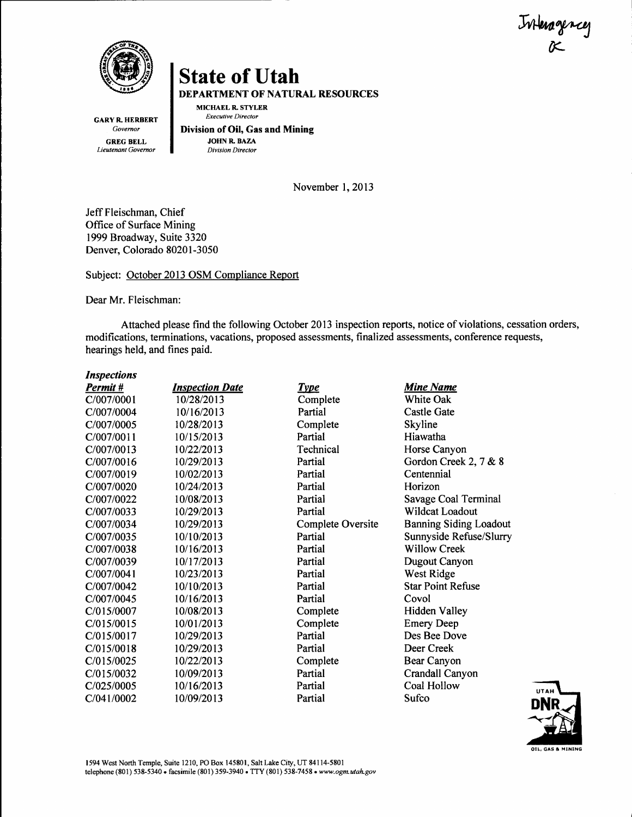tringence r-



DEPARTMENT OF NATURAL RESOURCES

MICHAEL R. STYLER Executive Director

GARY R. HERBERT Governar GREG BELL Lieutenant Governor

Division of Oil, Gas and Mining JOHN R. BAZA Division Director

November 1,2013

Jeff Fleischman, Chief Office of Surface Mining 1999 Broadway, Suite 3320 Denver, Colorado 80201-3050

Subject: October 2013 OSM Compliance Report

Dear Mr. Fleischman:

Attached please find the following October 2013 inspection reports, notice of violations, cessation orders, modifications, terminations, vacations, proposed assessments, finalized assessments, conference requests, hearings held, and fines paid.

| <b>Inspections</b> |                        |                   |                               |
|--------------------|------------------------|-------------------|-------------------------------|
| Permit #           | <b>Inspection Date</b> | <u>Type</u>       | <b>Mine Name</b>              |
| C/007/0001         | 10/28/2013             | Complete          | White Oak                     |
| C/007/0004         | 10/16/2013             | Partial           | <b>Castle Gate</b>            |
| C/007/0005         | 10/28/2013             | Complete          | Skyline                       |
| C/007/0011         | 10/15/2013             | Partial           | Hiawatha                      |
| C/007/0013         | 10/22/2013             | Technical         | Horse Canyon                  |
| C/007/0016         | 10/29/2013             | Partial           | Gordon Creek 2, 7 & 8         |
| C/007/0019         | 10/02/2013             | Partial           | Centennial                    |
| C/007/0020         | 10/24/2013             | Partial           | Horizon                       |
| C/007/0022         | 10/08/2013             | Partial           | Savage Coal Terminal          |
| C/007/0033         | 10/29/2013             | Partial           | Wildcat Loadout               |
| C/007/0034         | 10/29/2013             | Complete Oversite | <b>Banning Siding Loadout</b> |
| C/007/0035         | 10/10/2013             | Partial           | Sunnyside Refuse/Slurry       |
| C/007/0038         | 10/16/2013             | Partial           | <b>Willow Creek</b>           |
| C/007/0039         | 10/17/2013             | Partial           | Dugout Canyon                 |
| C/007/0041         | 10/23/2013             | Partial           | West Ridge                    |
| C/007/0042         | 10/10/2013             | Partial           | <b>Star Point Refuse</b>      |
| C/007/0045         | 10/16/2013             | Partial           | Covol                         |
| C/015/0007         | 10/08/2013             | Complete          | Hidden Valley                 |
| C/015/0015         | 10/01/2013             | Complete          | <b>Emery Deep</b>             |
| C/015/0017         | 10/29/2013             | Partial           | Des Bee Dove                  |
| C/015/0018         | 10/29/2013             | Partial           | Deer Creek                    |
| C/015/0025         | 10/22/2013             | Complete          | Bear Canyon                   |
| C/015/0032         | 10/09/2013             | Partial           | Crandall Canyon               |
| C/025/0005         | 10/16/2013             | Partial           | Coal Hollow                   |
| C/041/0002         | 10/09/2013             | Partial           | Sufco                         |

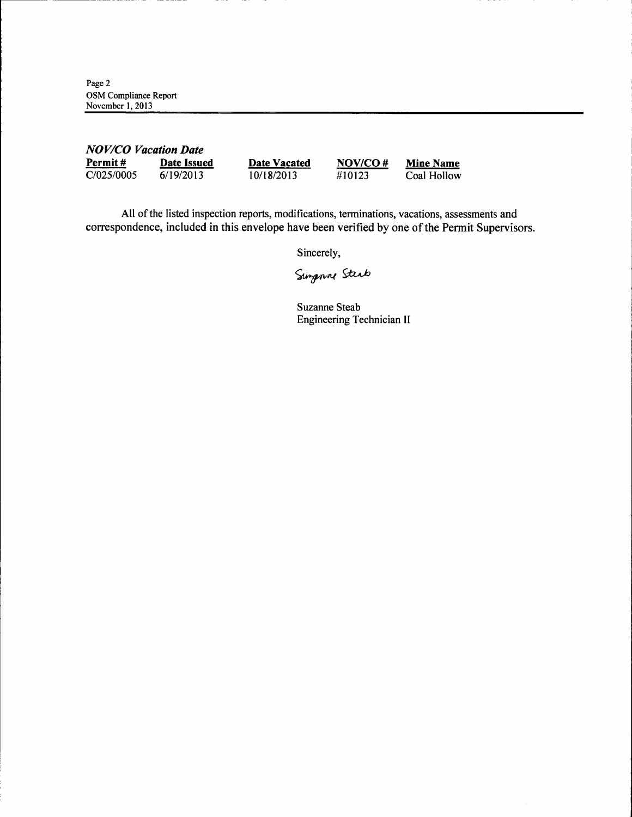Page 2 OSM Compliance Report November 1, 2013

| <b>NOV/CO Vacation Date</b> |             |              |         |                  |
|-----------------------------|-------------|--------------|---------|------------------|
| Permit#                     | Date Issued | Date Vacated | NOV/CO# | <b>Mine Name</b> |
| C/025/0005                  | 6/19/2013   | 10/18/2013   | #10123  | Coal Hollow      |

All of the listed inspection reports, modifications, terminations, vacations, assessments and correspondence, included in this envelope have been verified by one of the Permit Supervisors.

Sincerely,

Sungary Steep

Suzanne Steab Engineering Technician II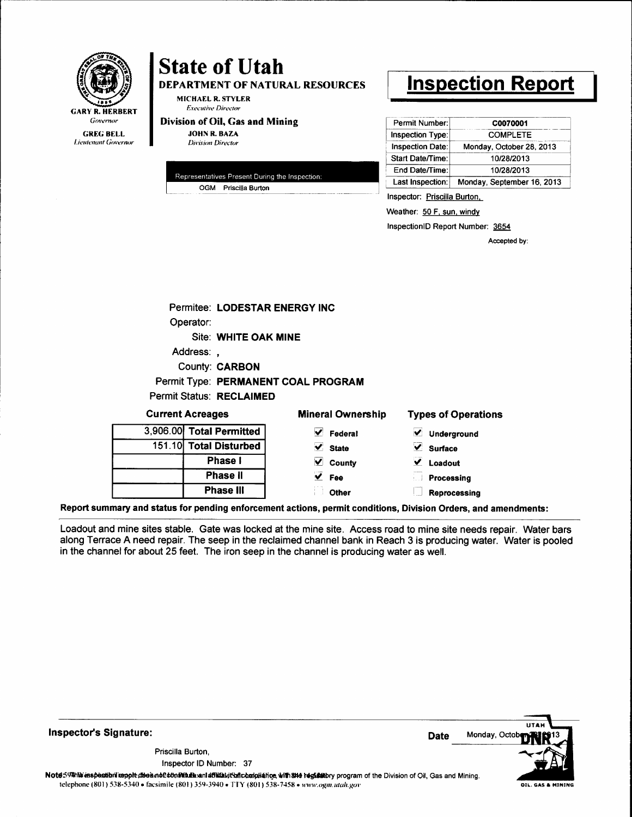

**DEPARTMENT OF NATURAL RESOURCES** 

**MICHAEL R. STYLER Executive Director** 

Division of Oil, Gas and Mining **JOHN R. BAZA** 

**Division Director** 

|  | Representatives Present During the Inspection: |
|--|------------------------------------------------|
|  | OGM Priscilla Burton                           |

# **Inspection Report**

| Permit Number:          | C0070001                   |
|-------------------------|----------------------------|
| Inspection Type:        | <b>COMPLETE</b>            |
| <b>Inspection Date:</b> | Monday, October 28, 2013   |
| Start Date/Time:        | 10/28/2013                 |
| End Date/Time:          | 10/28/2013                 |
| Last Inspection:        | Monday, September 16, 2013 |

Inspector: Priscilla Burton,

Weather: 50 F, sun, windy

InspectionID Report Number: 3654

Accepted by:

|        | Permitee: LODESTAR ENERGY INC   |                                     |                            |
|--------|---------------------------------|-------------------------------------|----------------------------|
|        | Operator:                       |                                     |                            |
|        | Site: WHITE OAK MINE            |                                     |                            |
|        | Address:,                       |                                     |                            |
|        | <b>County: CARBON</b>           |                                     |                            |
|        |                                 | Permit Type: PERMANENT COAL PROGRAM |                            |
|        | <b>Permit Status: RECLAIMED</b> |                                     |                            |
|        | <b>Current Acreages</b>         | <b>Mineral Ownership</b>            | <b>Types of Operations</b> |
|        | 3,906.00 Total Permitted        | $\vee$ Federal                      | ✔ Underground              |
| 151.10 | <b>Total Disturbed</b>          | $\vee$ State                        | $\vee$ Surface             |
|        | <b>Phase I</b>                  | V<br>County                         | $\vee$ Loadout             |
|        | Phase II                        | $\overline{\mathsf{y}}$ Fee         | Processing                 |
|        | <b>Phase III</b>                | Other                               | Reprocessing               |

Report summary and status for pending enforcement actions, permit conditions, Division Orders, and amendments:

Loadout and mine sites stable. Gate was locked at the mine site. Access road to mine site needs repair. Water bars along Terrace A need repair. The seep in the reclaimed channel bank in Reach 3 is producing water. Water is pooled in the channel for about 25 feet. The iron seep in the channel is producing water as well.

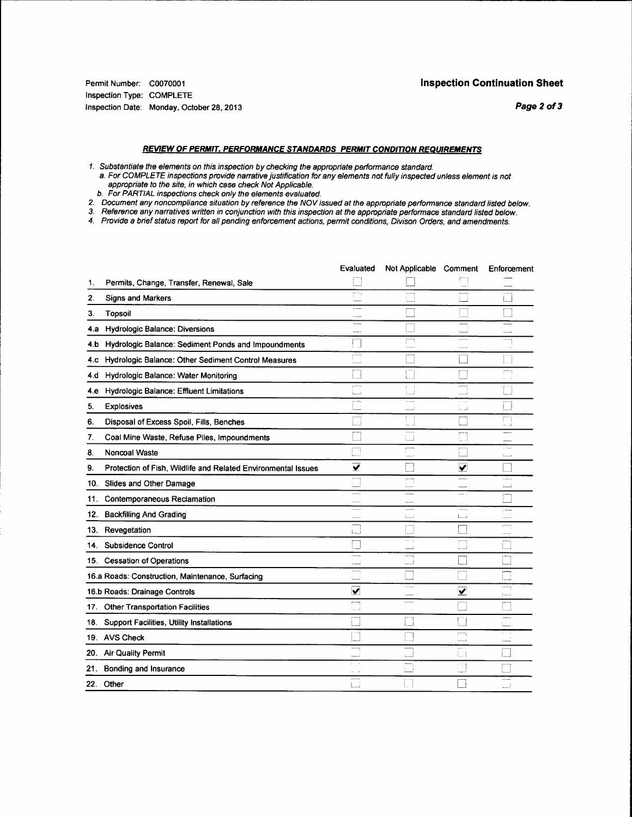#### **REVIEW OF PERMIT, PERFORMANCE STANDARDS PERMIT CONDITION REQUIREMENTS**

1. Substantiate the elements on this inspection by checking the appropriate performance standard.<br>a. For COMPLETE inspections provide narrative justification for any elements not fully inspected unless element is not<br>appro

- b. For PARTIAL inspections check only the elements evaluated.
- 2. Document any noncompliance situation by reference the NOV issued at the appropriate performance standard listed below.<br>3. Reference any narratives written in conjunction with this inspection at the appropriate performac
- 

4. Provide a brief status report for all pending enforcement actions, permit conditions, Divison Orders, and amendments.

|     |                                                               | Evaluated               | Not Applicable Comment |           | Enforcement                           |
|-----|---------------------------------------------------------------|-------------------------|------------------------|-----------|---------------------------------------|
| 1.  | Permits, Change, Transfer, Renewal, Sale                      |                         |                        |           |                                       |
| 2.  | <b>Signs and Markers</b>                                      | FП                      |                        |           |                                       |
| З.  | Topsoil                                                       | ---<br>$-1$             |                        |           |                                       |
| 4.а | <b>Hydrologic Balance: Diversions</b>                         | أنصبت                   |                        |           |                                       |
| 4.b | Hydrologic Balance: Sediment Ponds and Impoundments           |                         | m                      |           | فسد                                   |
| 4.C | Hydrologic Balance: Other Sediment Control Measures           | r <sub>1</sub>          |                        |           |                                       |
| 4.d | Hydrologic Balance: Water Monitoring                          |                         | L.                     |           | $\mathcal{C}^{\text{temp}}$<br>martin |
| 4 e | Hydrologic Balance: Effluent Limitations                      | ست                      |                        | ŗ.        |                                       |
| 5.  | <b>Explosives</b>                                             |                         | 1.11<br>$\frac{1}{2}$  | لہ ہا     |                                       |
| 6.  | Disposal of Excess Spoil, Fills, Benches                      |                         | r.<br>أوسيد            |           | m<br>لى ب                             |
| 7.  | Coal Mine Waste, Refuse Piles, Impoundments                   |                         | i i                    | L.        |                                       |
| 8.  | Noncoal Waste                                                 |                         | m                      |           | $\sim$ $\sim$ $\sim$ $\sim$<br>ட      |
| 9.  | Protection of Fish, Wildlife and Related Environmental Issues | $\overline{\mathbf{v}}$ |                        | ✔         |                                       |
|     | 10. Slides and Other Damage                                   |                         | mп                     |           | $10-10$<br>است                        |
|     | 11. Contemporaneous Reclamation                               |                         |                        |           |                                       |
| 12. | <b>Backfilling And Grading</b>                                |                         | $\mathbb{L}$           | ن ب       | 1                                     |
| 13. | Revegetation                                                  | ئے۔ا                    |                        |           | $\overline{\phantom{a}}$              |
| 14. | Subsidence Control                                            |                         |                        |           |                                       |
|     | 15. Cessation of Operations                                   | $-1$                    | $---$<br>L.            |           |                                       |
|     | 16.a Roads: Construction, Maintenance, Surfacing              |                         |                        |           | □                                     |
|     | 16.b Roads: Drainage Controls                                 | $\overline{\mathbf{v}}$ |                        | ⊻         | $1, \ldots, J$                        |
|     | 17. Other Transportation Facilities                           | $\bar{p}$<br>ف. 1       |                        |           |                                       |
| 18. | Support Facilities, Utility Installations                     |                         | $\Box$                 |           |                                       |
|     | 19. AVS Check                                                 |                         | <b>College</b>         | r mm      |                                       |
| 20. | <b>Air Quality Permit</b>                                     | m.                      |                        | i I       |                                       |
| 21. | Bonding and Insurance                                         |                         |                        | $\ddotsc$ |                                       |
|     | 22. Other                                                     | ட                       |                        |           |                                       |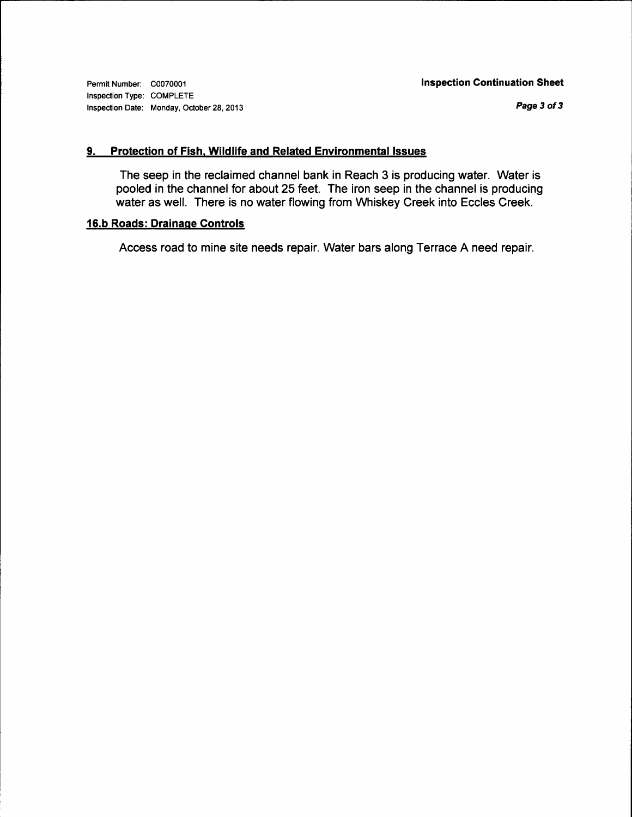Permit Number: C0070001 Inspection Type: COMPLETE Inspection Date: Monday, October 28, 2013

Page 3 of 3

#### 9. Protection of Fish, Wildlife and Related Environmental Issues

The seep in the reclaimed channel bank in Reach 3 is producing water. Water is pooled in the channel for about 25 feet. The iron seep in the channel is producing water as well. There is no water flowing from Whiskey Creek into Eccles Creek.

#### 16.b Roads: Drainaqe Gontrols

Access road to mine site needs repair. Water bars along Terrace A need repair.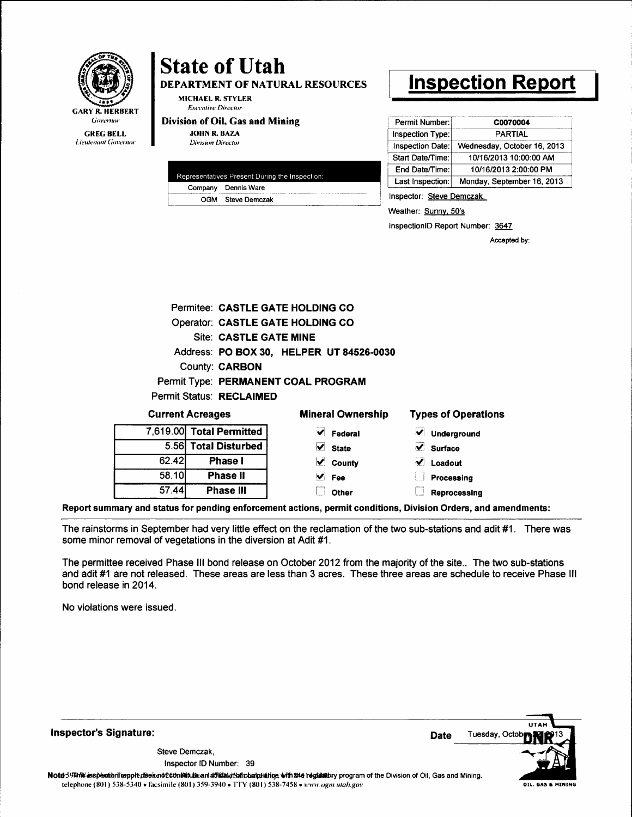

DEPARTMENT OF NATURAL RESOURCES

**MICHAEL R. STYLER Executive Director** 

Division of Oil, Gas and Mining

**JOHN R. BAZA Division Director** 

| Representatives Present During the Inspection: |                     |  |  |
|------------------------------------------------|---------------------|--|--|
|                                                | Company Dennis Ware |  |  |
|                                                | OGM Steve Demczak   |  |  |
|                                                |                     |  |  |

# **Inspection Report**

| Permit Number:   | C0070004                    |
|------------------|-----------------------------|
| Inspection Type: | <b>PARTIAL</b>              |
| Inspection Date: | Wednesday, October 16, 2013 |
| Start Date/Time: | 10/16/2013 10:00:00 AM      |
| End Date/Time:   | 10/16/2013 2:00:00 PM       |
| Last Inspection: | Monday, September 16, 2013  |

Inspector: Steve Demczak,

Weather: Sunny, 50's

InspectionID Report Number: 3647

Accepted by:

|       |                                 | Permitee: CASTLE GATE HOLDING CO         |                                                                                                                |
|-------|---------------------------------|------------------------------------------|----------------------------------------------------------------------------------------------------------------|
|       |                                 | <b>Operator: CASTLE GATE HOLDING CO</b>  |                                                                                                                |
|       | <b>Site: CASTLE GATE MINE</b>   |                                          |                                                                                                                |
|       |                                 | Address: PO BOX 30, HELPER UT 84526-0030 |                                                                                                                |
|       | <b>County: CARBON</b>           |                                          |                                                                                                                |
|       |                                 | Permit Type: PERMANENT COAL PROGRAM      |                                                                                                                |
|       | <b>Permit Status: RECLAIMED</b> |                                          |                                                                                                                |
|       | <b>Current Acreages</b>         | <b>Mineral Ownership</b>                 | <b>Types of Operations</b>                                                                                     |
|       | 7,619.00 Total Permitted        | $\vee$ Federal                           | Underground<br>✔                                                                                               |
|       | 5.56 Total Disturbed            | $\vee$ State                             | $\blacktriangledown$<br><b>Surface</b>                                                                         |
| 62.42 | Phase I                         | $\vee$ County                            | $\blacktriangledown$<br>Loadout                                                                                |
| 58.10 | <b>Phase II</b>                 | $\vee$ Fee                               | Processing                                                                                                     |
| 57.44 | Phase III                       | Other<br>H.                              | Reprocessing                                                                                                   |
|       |                                 |                                          | Report summary and status for pending enforcement actions, permit conditions, Division Orders, and amendments: |

The rainstorms in September had very little effect on the reclamation of the two sub-stations and adit #1. There was some minor removal of vegetations in the diversion at Adit #1.

The permittee received Phase III bond release on October 2012 from the majority of the site.. The two sub-stations and adit #1 are not released. These areas are less than 3 acres. These three areas are schedule to receive Phase III bond release in 2014.

No violations were issued.

**Inspector's Signature:** 

Steve Demczak, Inspector ID Number: 39



OIL. GAS & MININ

Note 59 This insplantion tempt diseand 0 ton Mula and affidabit in that also with the regulatory program of the Division of Oil, Gas and Mining. telephone (801) 538-5340 · facsimile (801) 359-3940 · TTY (801) 538-7458 · www.ogm.utah.gov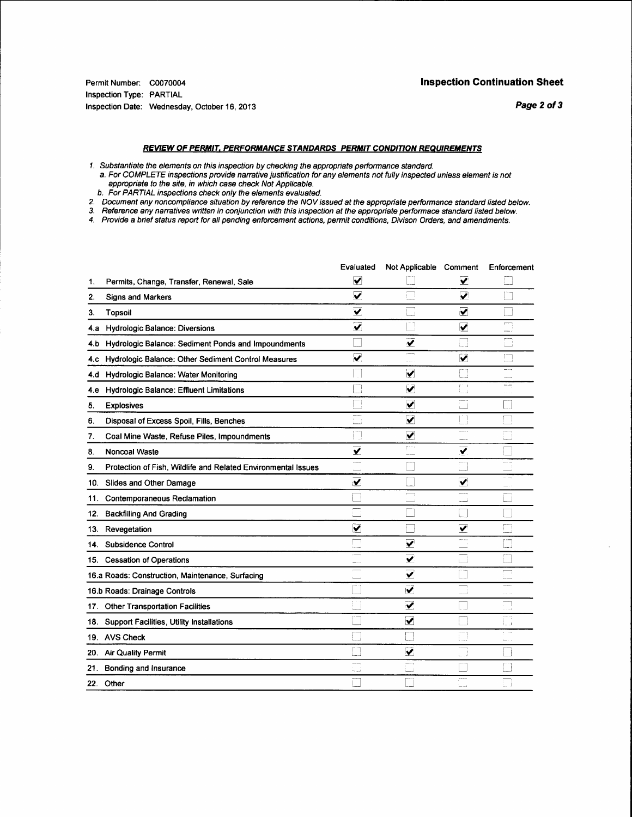#### **REVIEW OF PERMIT, PERFORMANCE STANDARDS PERMIT CONDITION REQUIREMENTS**

- 
- 1. Substantiate the elements on this inspection by checking the appropriate performance standard.<br>a. For COMPLETE inspections provide narrative justification for any elements not fully inspected unless element is not appropriate to the site, in which case check Not Applicable.<br>b. For PARTIAL inspections check only the elements evaluated.
- 
- 2. Document any noncompliance situation by reference the NOV issued at the appropriate performance standard listed below.<br>3. Reference any narratives written in conjunction with this inspection at the appropriate performac
- 
- 

|     |                                                               | Evaluated               | Not Applicable Comment          |                                 | Enforcement              |
|-----|---------------------------------------------------------------|-------------------------|---------------------------------|---------------------------------|--------------------------|
| 1.  | Permits, Change, Transfer, Renewal, Sale                      | V                       |                                 | ⊽                               |                          |
| 2.  | <b>Signs and Markers</b>                                      | ⊽                       |                                 | $\overline{\mathbf{v}}$         |                          |
| З.  | <b>Topsoil</b>                                                | V                       |                                 | $\overline{\blacktriangledown}$ |                          |
| 4.а | Hydrologic Balance: Diversions                                | $\overline{\mathbf{v}}$ |                                 | $\overline{\mathbf{v}}$         | m                        |
| 4.b | Hydrologic Balance: Sediment Ponds and Impoundments           |                         | $\overline{\mathbf{y}}$         |                                 | Π<br>i i s               |
|     | 4.c Hydrologic Balance: Other Sediment Control Measures       | ✓                       |                                 | $\overline{\mathbf{v}}$         | Г                        |
| 4.d | Hydrologic Balance: Water Monitoring                          |                         | V                               |                                 | $-\cdots$<br>$rac{1}{2}$ |
| 4.e | <b>Hydrologic Balance: Effluent Limitations</b>               |                         | ⊽                               | 手の手<br>i.                       | ≃.,                      |
| 5.  | <b>Explosives</b>                                             |                         | $\overline{\mathbf{v}}$         | -                               |                          |
| 6.  | Disposal of Excess Spoil, Fills, Benches                      |                         | ✔                               |                                 |                          |
| 7.  | Coal Mine Waste, Refuse Piles, Impoundments                   | ŋ                       | $\blacktriangledown$            |                                 | Ē                        |
| 8.  | Noncoal Waste                                                 | $\overline{\mathbf{v}}$ | port i                          | ✔                               |                          |
| 9.  | Protection of Fish, Wildlife and Related Environmental Issues |                         |                                 |                                 | -----                    |
|     | 10. Slides and Other Damage                                   | $\overline{\mathbf{v}}$ |                                 | $\blacktriangledown$            | $\overline{\phantom{a}}$ |
| 11. | Contemporaneous Reclamation                                   |                         | ─                               | أسدد                            |                          |
| 12. | <b>Backfilling And Grading</b>                                |                         |                                 |                                 |                          |
| 13. | Revegetation                                                  | ✔                       |                                 | ✓                               |                          |
| 14. | Subsidence Control                                            |                         | ⊻                               | $rac{1}{2}$                     |                          |
|     | 15. Cessation of Operations                                   |                         | ⊻                               | L.                              |                          |
|     | 16.a Roads: Construction, Maintenance, Surfacing              |                         | $\overline{\blacktriangledown}$ |                                 | <u>:</u>                 |
|     | 16.b Roads: Drainage Controls                                 |                         | $\overline{\mathbf{v}}$         |                                 | $\sim 10^{-10}$          |
|     | 17 Other Transportation Facilities                            |                         | ✔                               |                                 | فستند                    |
|     | 18. Support Facilities, Utility Installations                 |                         | $\blacktriangledown$            |                                 | ē<br>ل د نا              |
|     | 19. AVS Check                                                 |                         |                                 | i. J                            |                          |
|     | 20. Air Quality Permit                                        |                         | $\blacktriangledown$            | Шİ                              |                          |
|     | 21. Bonding and Insurance                                     | أسمعته                  |                                 |                                 |                          |
|     | 22. Other                                                     |                         |                                 | 1.12                            |                          |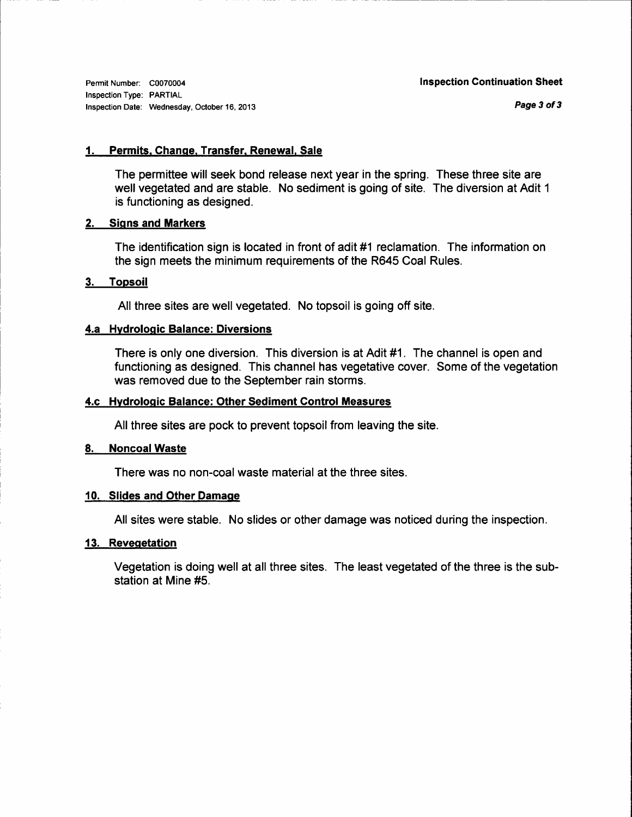Permit Number: C0070004 Inspection Type: PARTIAL Inspection Date: Wednesday, October 16, 2013

Page 3 of 3

#### 1. Permits, Change, Transfer, Renewal, Sale

The permittee will seek bond release next year in the spring. These three site are well vegetated and are stable. No sediment is going of site. The diversion at Adit <sup>1</sup> is functioning as designed.

## 2. Siqns and Markers

The identification sign is located in front of adit #1 reclamation. The information on the sign meets the minimum requirements of the R645 Coal Rules.

#### 3. Topsoil

All three sites are well vegetated. No topsoil is going off site.

#### 4.a Hvdroloqic Balance: Diversions

There is only one diversion. This diversion is at Adit #1. The channel is open and functioning as designed. This channel has vegetative cover. Some of the vegetation was removed due to the September rain storms.

#### 4.c Hydroloqic Balance: Other Sediment Control Measures

All three sites are pock to prevent topsoil from leaving the site.

#### 8. Noncoal Waste

There was no non-coal waste material at the three sites.

#### 10. Slides and Other Damage

All sites were stable. No slides or other damage was noticed during the inspection.

#### 13. Reveqetation

Vegetation is doing well at all three sites. The least vegetated of the three is the substation at Mine #5.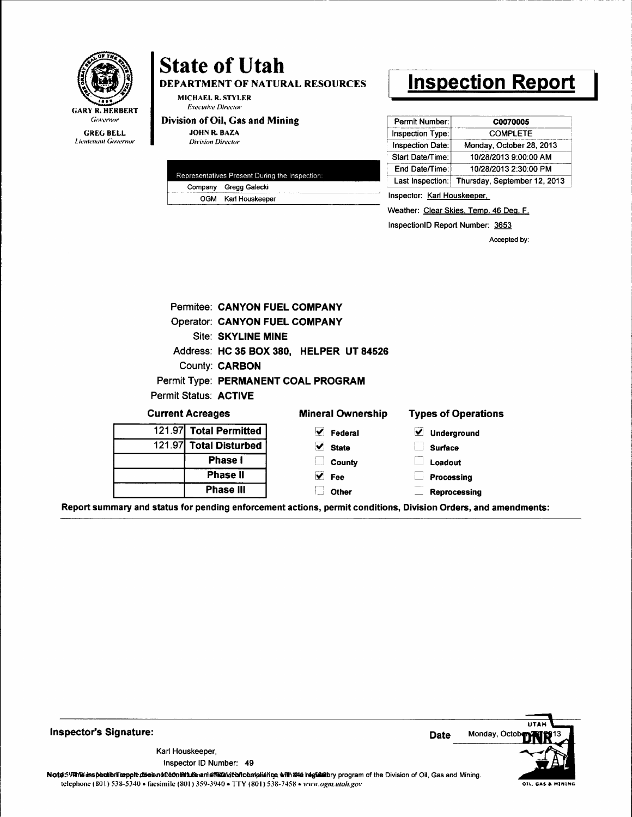

DEPARTMENT OF NATURAL RESOURCES

MICHAEL R. STYLER **Executive Director** 

## Division of Oil, Gas and Mining

**JOHN R. BAZA Division Director** 

| Representatives Present During the Inspection: |                       |  |  |
|------------------------------------------------|-----------------------|--|--|
|                                                | Company Gregg Galecki |  |  |
|                                                | OGM Karl Houskeeper   |  |  |
|                                                |                       |  |  |

# **Inspection Report**

| Permit Number:   | C0070005                     |
|------------------|------------------------------|
| Inspection Type: | <b>COMPLETE</b>              |
| Inspection Date: | Monday, October 28, 2013     |
| Start Date/Time: | 10/28/2013 9:00:00 AM        |
| End Date/Time:   | 10/28/2013 2:30:00 PM        |
| Last Inspection: | Thursday, September 12, 2013 |

Inspector: Karl Houskeeper,

Weather: Clear Skies, Temp. 46 Deg. F.

InspectionID Report Number: 3653

Accepted by:

|                 | Permitee: CANYON FUEL COMPANY        |                                                                                                                                                                                                                                |                            |
|-----------------|--------------------------------------|--------------------------------------------------------------------------------------------------------------------------------------------------------------------------------------------------------------------------------|----------------------------|
|                 | <b>Operator: CANYON FUEL COMPANY</b> |                                                                                                                                                                                                                                |                            |
|                 | <b>Site: SKYLINE MINE</b>            |                                                                                                                                                                                                                                |                            |
|                 |                                      | Address: HC 35 BOX 380, HELPER UT 84526                                                                                                                                                                                        |                            |
|                 | County: <b>CARBON</b>                |                                                                                                                                                                                                                                |                            |
|                 | Permit Type: PERMANENT COAL PROGRAM  |                                                                                                                                                                                                                                |                            |
|                 | Permit Status: ACTIVE                |                                                                                                                                                                                                                                |                            |
|                 | <b>Current Acreages</b>              | <b>Mineral Ownership</b>                                                                                                                                                                                                       | <b>Types of Operations</b> |
|                 | 121.97 Total Permitted               | M<br>Federal                                                                                                                                                                                                                   | V<br>Underground           |
| 121.97 <b>I</b> | <b>Total Disturbed</b>               | $\vee$ State                                                                                                                                                                                                                   | <b>Surface</b>             |
|                 | <b>Phase I</b>                       | County                                                                                                                                                                                                                         | Loadout                    |
|                 | Phase II                             | $\vee$ Fee                                                                                                                                                                                                                     | Processing                 |
|                 | <b>Phase III</b>                     | Other                                                                                                                                                                                                                          | <b>Reprocessing</b>        |
|                 |                                      | المستحقق والمستحقق والمستحقق والمستحقق والمستحقق والمستحقق والمستحقق والمستحق والمستحيل والمستحق والمستحق والمستحق والمستحق والمستحق والمستحق والمستحق والمستحقة والمستحقة والمستحقة والمستحقة والمستحقة والمستحقة والمستحقة و |                            |

Report summary and status for pending enforcement actions, permit conditions, Division Orders, and amendments:

**Inspector's Signature:** 

Karl Houskeeper, Inspector ID Number: 49

**UTAL** Monday, Octob **Date** 

Note59#his inspection respectives in a filth hand and affailing the host and in the begins to program of the Division of Oil, Gas and Mining. telephone (801) 538-5340 · facsimile (801) 359-3940 · TTY (801) 538-7458 · www.ogm.utah.gov

OIL, GAS & HINING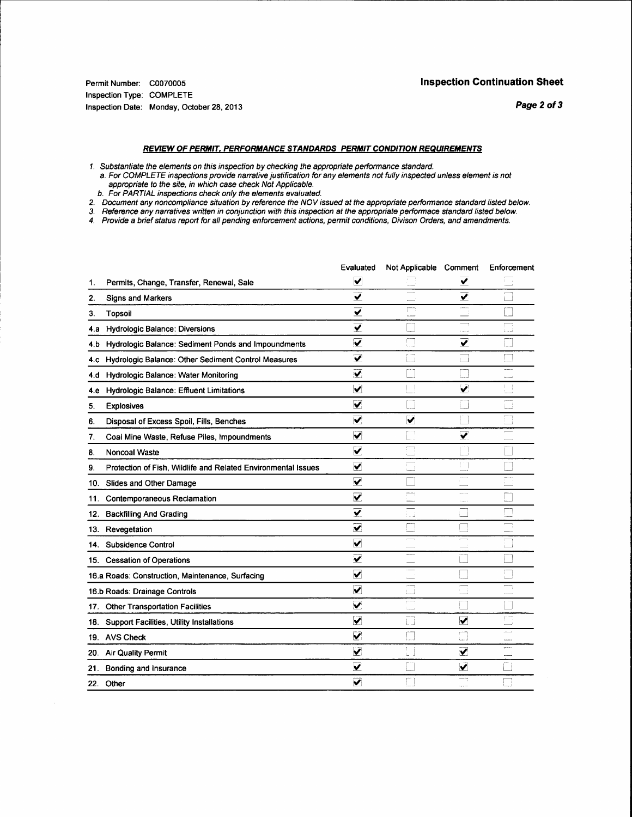#### REVIEW OF PERMIT, PERFORMANCE STANDARDS PERMIT CONDITION REQUIREMENTS

- 1. Substantiate the elements on this inspection by checking the appropriate performance standard.
- a. For COMPLETE inspections provide narrative justification for any elements not fully inspected unless element is not appropriate to the site, in which case check Not Applicable.
- b. For PARTIAL inspections check only the elements evaluated.
- 2. Document any noncompliance situation by reference the NOV issued at the appropriate performance standard listed below.<br>3. Reference any narratives written in conjunction with this inspection at the appropriate performac
- 
- 4. Provide a brief status report for all pending enforcement actions, permit conditions, Divison Orders, and amendments.

|     |                                                               | Evaluated               | Not Applicable Comment |                         | Enforcement                                  |
|-----|---------------------------------------------------------------|-------------------------|------------------------|-------------------------|----------------------------------------------|
| 1.  | Permits, Change, Transfer, Renewal, Sale                      | ⊻                       |                        | ⊻                       |                                              |
| 2.  | <b>Signs and Markers</b>                                      | $\overline{\mathbf{v}}$ |                        | $\overline{\textbf{v}}$ |                                              |
| 3.  | <b>Topsoil</b>                                                | $\overline{\mathbf{y}}$ |                        | panasa.                 |                                              |
| 4.а | <b>Hydrologic Balance: Diversions</b>                         | ⊽                       |                        |                         | أسادنه                                       |
| 4.b | Hydrologic Balance: Sediment Ponds and Impoundments           | $\overline{\mathbf{v}}$ |                        | $\overline{\mathbf{v}}$ |                                              |
| 4.C | Hydrologic Balance: Other Sediment Control Measures           | ✓                       |                        |                         |                                              |
| 4.d | Hydrologic Balance: Water Monitoring                          | V.                      |                        |                         | ----<br>سيبين                                |
| 4.e | Hydrologic Balance: Effluent Limitations                      | $\ddotmark$             | $\mathbf{I}$           | $\checkmark$            | 4日<br>$\mathbb{L}_{\mathbb{R}^{n \times n}}$ |
| 5.  | <b>Explosives</b>                                             | $\overline{\mathbf{v}}$ |                        |                         |                                              |
| 6.  | Disposal of Excess Spoil, Fills, Benches                      | $\overline{\mathbf{v}}$ | $\blacktriangledown$   |                         |                                              |
| 7.  | Coal Mine Waste, Refuse Piles, Impoundments                   | $\blacktriangledown$    | m<br>نبيا              | ✓                       |                                              |
| 8.  | <b>Noncoal Waste</b>                                          | ✔                       |                        |                         |                                              |
| 9.  | Protection of Fish, Wildlife and Related Environmental Issues | ⊻                       |                        | TΠ                      |                                              |
|     | 10. Slides and Other Damage                                   | $\blacktriangledown$    |                        |                         |                                              |
| 11. | Contemporaneous Reclamation                                   | $\overline{\mathbf{v}}$ | m                      | $\sim$<br>والمساوة      |                                              |
|     | 12. Backfilling And Grading                                   | ⊽                       | لنباذ                  |                         |                                              |
|     | 13. Revegetation                                              | $\overline{\mathbf{v}}$ |                        |                         |                                              |
|     | 14. Subsidence Control                                        | $\overline{\mathbf{v}}$ |                        |                         | a control                                    |
|     | 15 Cessation of Operations                                    | ⊽                       |                        |                         |                                              |
|     | 16.a Roads: Construction, Maintenance, Surfacing              | $\blacktriangledown$    |                        |                         | Г                                            |
|     | 16.b Roads: Drainage Controls                                 | ✓                       |                        |                         |                                              |
|     | 17. Other Transportation Facilities                           | ⊻                       | $\sim$                 |                         |                                              |
|     | 18. Support Facilities, Utility Installations                 | $\blacktriangledown$    |                        | $\checkmark$            | $\Gamma$ , and                               |
|     | 19. AVS Check                                                 | $\overline{\mathbf{v}}$ | $\mathbf{L}$           | للمنا                   |                                              |
|     | 20. Air Quality Permit                                        | $\checkmark$            | t.                     | $\overline{\mathbf{v}}$ | 1.11                                         |
|     | 21. Bonding and Insurance                                     | $\overline{\mathbf{v}}$ |                        | $\checkmark$            |                                              |
| 22. | Other                                                         | $\blacktriangledown$    |                        |                         |                                              |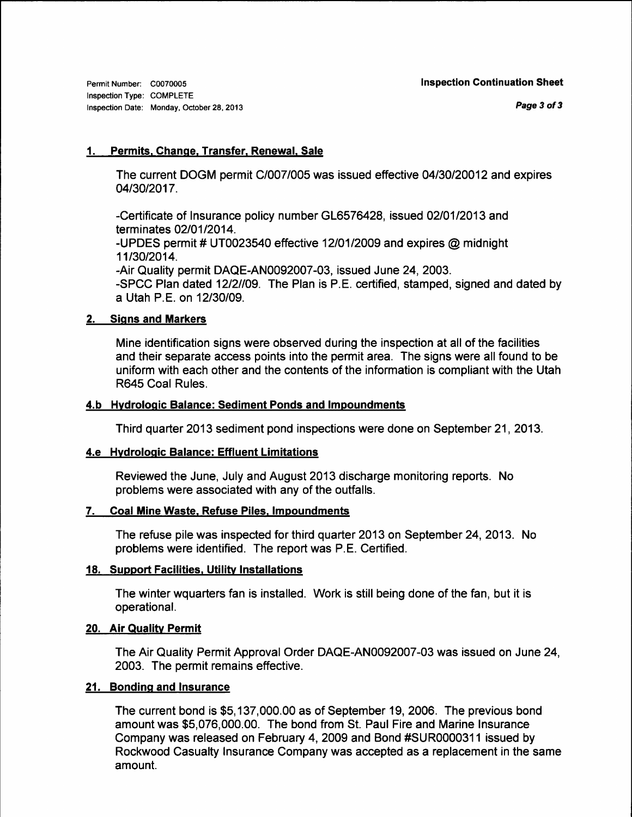Permit Number: C0070005 Inspection Type: COMPLETE Inspection Date: Monday, October 28,2013

## 1. Permits. Ghanqe. Transfer. Renewal. Sale

The current DOGM permit C/007/005 was issued effective 04130120012 and expires 04/30/2017.

-Certificate of Insurance policy number GL6576428, issued 02/01/2013 and terminates 02/01/2014.

-UPDES permit # UT0023540 effective 12101/2009 and expires @ midnight 11/30/2014.

-Air Quality permit DAQE-4N0092007-03, issued June 24,2003. -SPCC Plan dated 12/2//09. The Plan is P.E. certified, stamped, signed and dated by a Utah P.E. on 12130/09.

## 2. Signs and Markers

Mine identification signs were observed during the inspection at all of the facilities and their separate access points into the permit area. The signs were all found to be uniform with each other and the contents of the information is compliant with the Utah R645 Coal Rules.

## 4.b Hydrologic Balance: Sediment Ponds and Impoundments

Third quarter 2013 sediment pond inspections were done on September 21, 2013.

#### 4.e Hvdroloqic Balance: Effluent Limitations

Reviewed the June, July and August 2013 discharge monitoring reports. No problems were associated with any of the outfalls.

## 7. Coal Mine Waste, Refuse Piles, Impoundments

The refuse pile was inspected for third quarter 2013 on September 24, 2013. No problems were identified. The report was P.E. Certified.

## 18. Support Facilities. Utilitv lnstallations

The winter wquarters fan is installed. Work is still being done of the fan, but it is operational.

## 20. Air Quality Permit

The Air Quality Permit Approval Order DAQE-AN0092007-03 was issued on June 24, 2003. The permit remains effective.

## 21. Bonding and Insurance

The current bond is \$5,137,000.00 as of September 19,2006. The previous bond amount was \$5,076,000.00. The bond from St. Paul Fire and Marine Insurance Company was released on February 4, 2009 and Bond #SUR0000311 issued by Rockwood Casualty Insurance Company was accepted as a replacement in the same amount.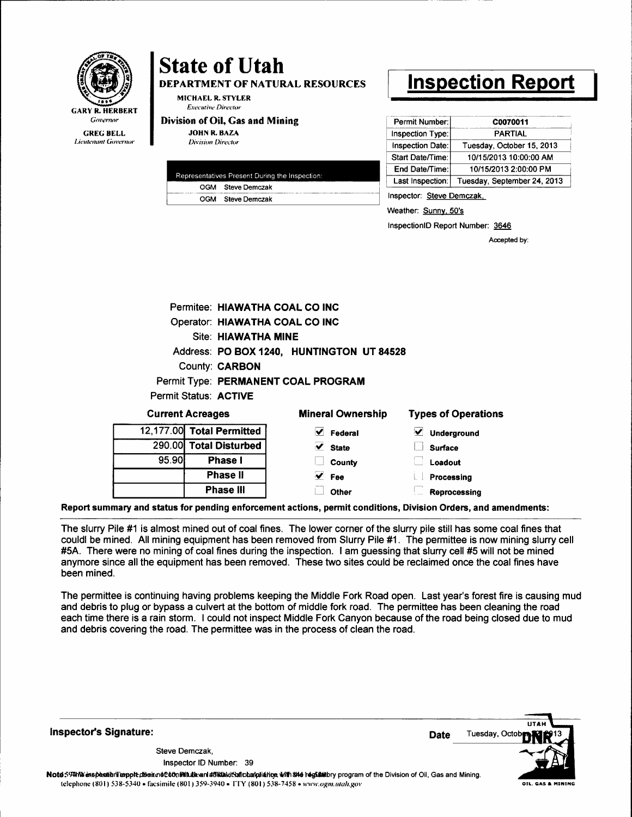

## **State of Utah DEPARTMENT OF NATURAL RESOURCES**

MICHAEL R. STYLER **Executive Director** 

#### Division of Oil, Gas and Mining **JOHN R. BAZA**

**Division Director** 

| Representatives Present During the Inspection: |                   |  |  |  |
|------------------------------------------------|-------------------|--|--|--|
|                                                | OGM Steve Demczak |  |  |  |
|                                                | OGM Steve Demczak |  |  |  |
|                                                |                   |  |  |  |

# **Inspection Report**

| Permit Number:   | C0070011                    |
|------------------|-----------------------------|
| Inspection Type: | PARTIAL                     |
| Inspection Date: | Tuesday, October 15, 2013   |
| Start Date/Time: | 10/15/2013 10:00:00 AM      |
| End Date/Time:   | 10/15/2013 2:00:00 PM       |
| Last Inspection: | Tuesday, September 24, 2013 |

Inspector: Steve Demczak,

Weather: Sunny, 50's

InspectionID Report Number: 3646

Accepted by:

|                | Permitee: HIAWATHA COAL CO INC |                                           |                            |
|----------------|--------------------------------|-------------------------------------------|----------------------------|
|                | Operator: HIAWATHA COAL CO INC |                                           |                            |
|                | Site: HIAWATHA MINE            |                                           |                            |
|                |                                | Address: PO BOX 1240, HUNTINGTON UT 84528 |                            |
|                | <b>County: CARBON</b>          |                                           |                            |
|                |                                | Permit Type: PERMANENT COAL PROGRAM       |                            |
|                | <b>Permit Status: ACTIVE</b>   |                                           |                            |
|                | <b>Current Acreages</b>        | <b>Mineral Ownership</b>                  | <b>Types of Operations</b> |
| 12.177.00      | <b>Total Permitted</b>         | $\vee$ Federal                            | M<br>Underground           |
| <b>290.00L</b> | <b>Total Disturbed</b>         | $\vee$ State                              | <b>Surface</b>             |
| 95.90          | <b>Phase I</b>                 | County                                    | Loadout                    |
|                | <b>Phase II</b>                | $\vee$ Fee                                | Processing                 |
|                | <b>Phase III</b>               | Other                                     | Reprocessing               |

The slurry Pile #1 is almost mined out of coal fines. The lower corner of the slurry pile still has some coal fines that couldl be mined. All mining equipment has been removed from Slurry Pile #1. The permittee is now mining slurry cell #5A. There were no mining of coal fines during the inspection. I am guessing that slurry cell #5 will not be mined anymore since all the equipment has been removed. These two sites could be reclaimed once the coal fines have been mined.

The permittee is continuing having problems keeping the Middle Fork Road open. Last year's forest fire is causing mud and debris to plug or bypass a culvert at the bottom of middle fork road. The permittee has been cleaning the road each time there is a rain storm. I could not inspect Middle Fork Canyon because of the road being closed due to mud and debris covering the road. The permittee was in the process of clean the road.

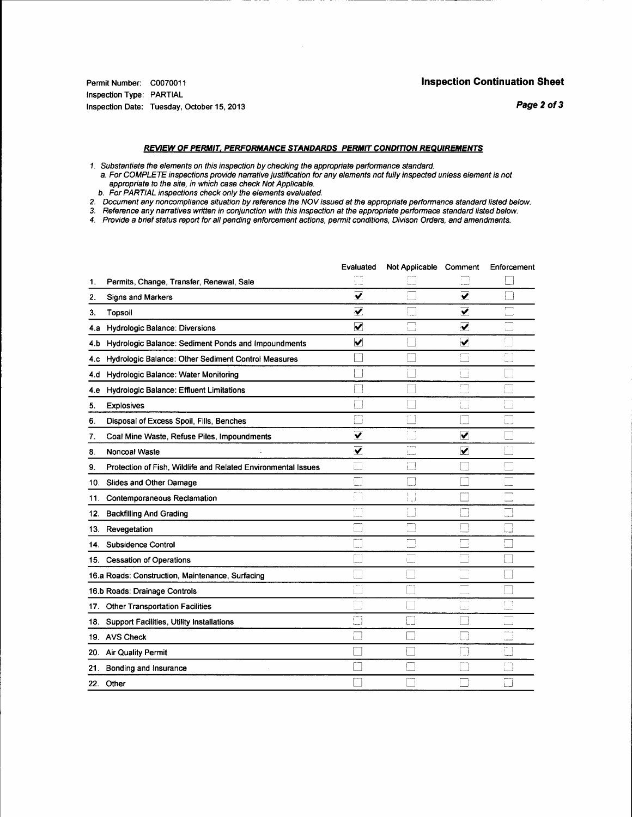#### Inspection Continuation Sheet

Permit Number: C0070011 Inspection Type: PARTIAL Inspection Date: Tuesday, Oclober 15,2013

Page 2 of 3

#### REVIEW OF PERMIT, PERFORMANCE STANDARDS PERMIT CONDITION REQUIREMENTS

1. Substantiate the elements on this inspection by checking the appropriate performance standard.

a. For COMPLETE inspections provide narrative justification for any elements not fully inspected unless element is not appropriate fo fhe sife, in which case cfieck Not Applicable. b. For PARTIAL inspections cfieck only the elements evaluated.

- 
- 2. Document any noncompliance situation by reference the NOV issued at the appropriate performance standard listed below.
- 3. Reference any nanatives written in conjundion with this inspedion at the appropiate pertormace standard listed below.

4. Provide a brief status reporf for all pending enforcemenf acfionq permit conditions, Divison Orders, and amendments.

|     |                                                               | Evaluated                       | Not Applicable Comment         |                         | Enforcement                   |
|-----|---------------------------------------------------------------|---------------------------------|--------------------------------|-------------------------|-------------------------------|
| 1.  | Permits, Change, Transfer, Renewal, Sale                      |                                 |                                |                         |                               |
| 2.  | Signs and Markers                                             | ⊽                               |                                | ⊽                       |                               |
| 3.  | Topsoil                                                       | ⊻                               |                                | ✔                       | $\overline{\phantom{a}}$      |
| 4.a | <b>Hydrologic Balance: Diversions</b>                         | $\overline{\mathbf{v}}$         |                                | $\overline{\mathbf{v}}$ | $\Box$                        |
| 4.b | Hydrologic Balance: Sediment Ponds and Impoundments           | ☑                               |                                | $\blacktriangledown$    | ŗ.<br>$\ddot{a}$              |
| 4.C | Hydrologic Balance: Other Sediment Control Measures           |                                 |                                |                         | FГ<br>$1 - 1$                 |
| 4.d | Hydrologic Balance: Water Monitoring                          |                                 |                                |                         |                               |
| 4.e | Hydrologic Balance: Effluent Limitations                      |                                 |                                | Г                       |                               |
| 5.  | <b>Explosives</b>                                             |                                 |                                | لسنأ                    |                               |
| 6.  | Disposal of Excess Spoil, Fills, Benches                      |                                 |                                |                         |                               |
| 7.  | Coal Mine Waste, Refuse Piles, Impoundments                   | $\overline{\mathbf{v}}$         | $\rightarrow$<br><b>Course</b> | $\blacktriangledown$    |                               |
| 8.  | Noncoal Waste                                                 | $\overline{\blacktriangledown}$ | ومحصر                          | $\checkmark$            |                               |
| 9.  | Protection of Fish, Wildlife and Related Environmental Issues |                                 |                                |                         |                               |
| 10. | Slides and Other Damage                                       | سنت                             |                                |                         |                               |
| 11. | Contemporaneous Reclamation                                   |                                 | ÷.<br>ا …ا                     |                         |                               |
| 12. | <b>Backfilling And Grading</b>                                | $\widehat{\psi}$                |                                |                         | $\mathcal{L}_{\text{target}}$ |
| 13. | Revegetation                                                  |                                 |                                |                         |                               |
|     | 14. Subsidence Control                                        |                                 | m                              |                         |                               |
|     | 15. Cessation of Operations                                   |                                 |                                |                         |                               |
|     | 16.a Roads: Construction, Maintenance, Surfacing              |                                 |                                |                         |                               |
|     | 16.b Roads: Drainage Controls                                 |                                 |                                |                         |                               |
|     | 17. Other Transportation Facilities                           |                                 |                                | نسبة                    | m                             |
|     | 18. Support Facilities, Utility Installations                 |                                 |                                |                         |                               |
|     | 19. AVS Check                                                 |                                 |                                |                         | $rac{1}{2}$<br>نسبب           |
| 20. | <b>Air Quality Permit</b>                                     |                                 |                                |                         |                               |
| 21. | Bonding and Insurance                                         |                                 |                                |                         |                               |
| 22. | Other                                                         |                                 |                                |                         |                               |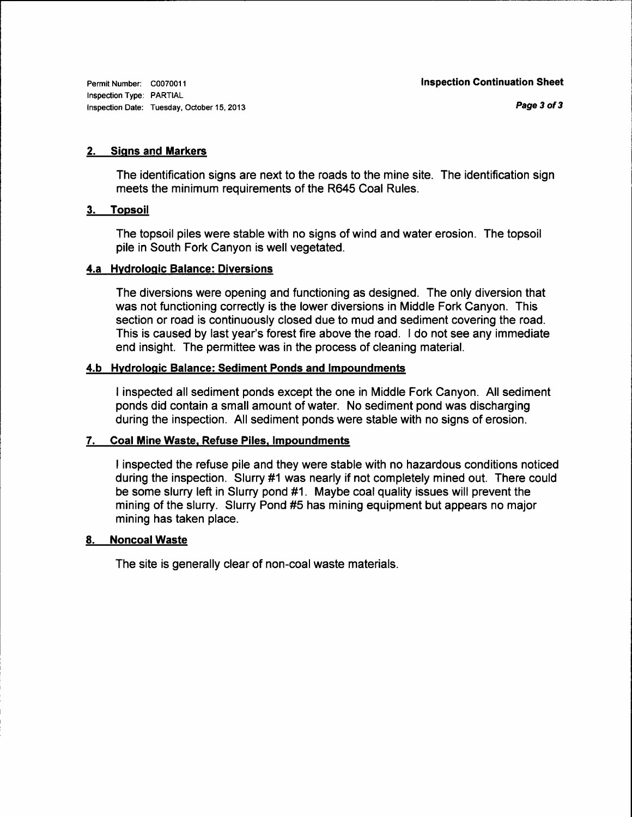Permit Number: C0070011 Inspection Type: PARTIAL Inspection Date: Tuesday, October 15, 2013

#### 2. Siqns and Markers

The identification signs are next to the roads to the mine site. The identification sign meets the minimum requirements of the R645 Coal Rules.

#### 3. Topsoil

The topsoil piles were stable with no signs of wind and water erosion. The topsoil pile in South Fork Canyon is well vegetated.

#### 4.a Hvdroloqic Balance: Diversions

The diversions were opening and functioning as designed. The only diversion that was not functioning correctly is the lower diversions in Middle Fork Canyon. This section or road is continuously closed due to mud and sediment covering the road. This is caused by last year's forest fire above the road. I do not see any immediate end insight. The permittee was in the process of cleaning material.

#### 4.b Hvdroloqic Balance: Sediment Ponds and lmpoundments

I inspected all sediment ponds except the one in Middle Fork Canyon. All sediment ponds did contain a small amount of water. No sediment pond was discharging during the inspection. All sediment ponds were stable with no signs of erosion.

## 7. Goal Mine Waste. Refuse Piles. lmpoundments

I inspected the refuse pile and they were stable with no hazardous conditions noticed during the inspection. Slurry #1 was nearly if not completely mined out. There could be some slurry left in Slurry pond #1. Maybe coal quality issues will prevent the mining of the slurry. Slurry Pond #5 has mining equipment but appears no major mining has taken place.

#### 8. Noncoal Waste

The site is generally clear of non-coal waste materials.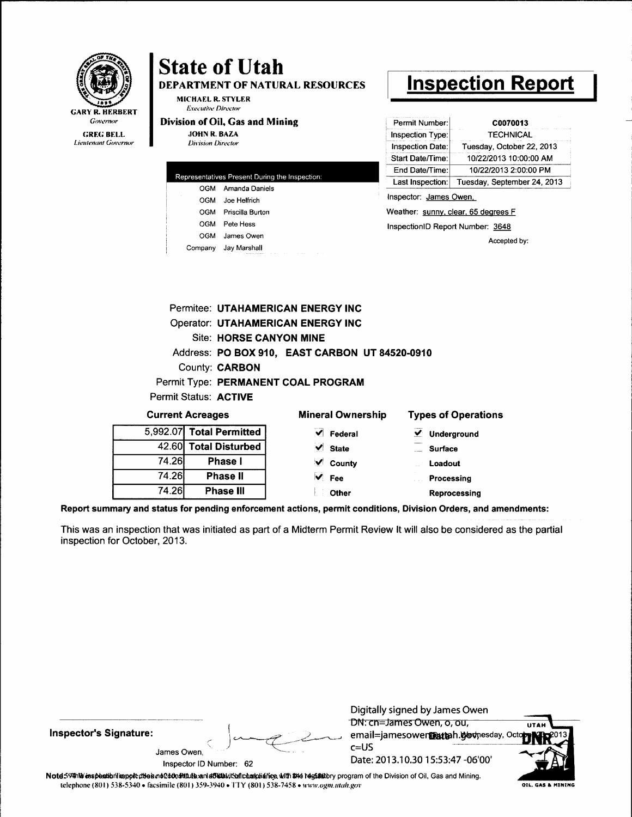|                                                                               |                                                     | <b>State of Utah</b><br><b>MICHAEL R. STYLER</b>                                                                                                                                        | <b>DEPARTMENT OF NATURAL RESOURCES</b>                                                                                                                                        |                                                                                                                                         | <u> Inspection Repor</u>                                                     |
|-------------------------------------------------------------------------------|-----------------------------------------------------|-----------------------------------------------------------------------------------------------------------------------------------------------------------------------------------------|-------------------------------------------------------------------------------------------------------------------------------------------------------------------------------|-----------------------------------------------------------------------------------------------------------------------------------------|------------------------------------------------------------------------------|
| GARY R. HERBERT<br>Governor<br><b>GREG BELL</b><br><b>Lieutenant Governor</b> |                                                     | <b>Executive Director</b><br>Division of Oil, Gas and Mining<br><b>JOHN R. BAZA</b><br><b>Division Director</b>                                                                         |                                                                                                                                                                               | Permit Number:<br>Inspection Type:<br><b>Inspection Date:</b><br>Start Date/Time:                                                       | C0070013<br>TECHNICAL<br>Tuesday, October 22, 2013<br>10/22/2013 10:00:00 AM |
|                                                                               |                                                     | Representatives Present During the Inspection:<br>OGM Amanda Daniels<br>OGM<br>Joe Helfrich<br>OGM Priscilla Burton<br>OGM<br>Pete Hess<br>OGM<br>James Owen<br>Company<br>Jay Marshall |                                                                                                                                                                               | End Date/Time:<br>Last Inspection:<br>Inspector: James Owen,<br>Weather: sunny, clear, 65 degrees F<br>InspectionID Report Number: 3648 | 10/22/2013 2:00:00 PM<br>Tuesday, September 24, 2013<br>Accepted by:         |
|                                                                               |                                                     | <b>Site: HORSE CANYON MINE</b><br><b>County: CARBON</b><br>Permit Status: ACTIVE                                                                                                        | <b>Permitee: UTAHAMERICAN ENERGY INC</b><br><b>Operator: UTAHAMERICAN ENERGY INC</b><br>Address: PO BOX 910, EAST CARBON UT 84520-0910<br>Permit Type: PERMANENT COAL PROGRAM |                                                                                                                                         |                                                                              |
|                                                                               | <b>Current Acreages</b><br>5,992.07 Total Permitted |                                                                                                                                                                                         | <b>Mineral Ownership</b><br>Federal                                                                                                                                           | $\vee$ Underground                                                                                                                      | <b>Types of Operations</b>                                                   |
|                                                                               | 42.60<br>74.26I<br>74.26I                           | <b>Total Disturbed</b><br>Phase I<br>Phase II                                                                                                                                           | <b>State</b><br>County<br>Fee                                                                                                                                                 | <b>Surface</b><br>Loadout<br>Processing                                                                                                 |                                                                              |
|                                                                               | 74.26                                               | Phase III                                                                                                                                                                               | Other                                                                                                                                                                         |                                                                                                                                         | Reprocessing                                                                 |

Report summary and status for pending enforcement actions, permit conditions, Division Orders, and amendments:

This was an inspection that was initiated as part of a Midterm Permit Review It will also be considered as the partial inspection for October, 2013.

**Inspector's Signature:** 

**GARY** 



Digitally signed by James Owen

DN: cn=James Owen, o, ou, email=jamesower@attah.govnesday, Oc  $c = US$ Date: 2013.10.30 15:53:47 -06'00'



Inspector ID Number: 62

Note 59#hb espection report diseand 040n Multe and a 5 back to a publishing with \$14 regulatory program of the Division of Oil, Gas and Mining. telephone (801) 538-5340 · facsimile (801) 359-3940 · TTY (801) 538-7458 · www.ogm.utah.gov

OIL, GAS & MINING